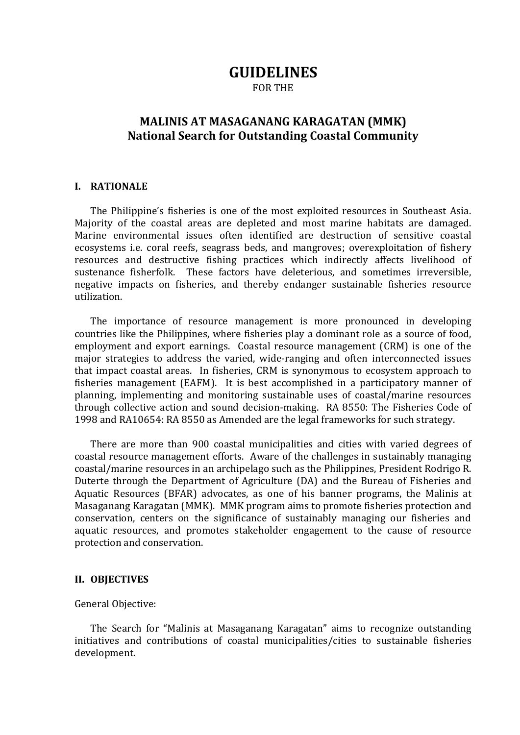# **GUIDELINES**

FOR THE

# **MALINIS AT MASAGANANG KARAGATAN (MMK) National Search for Outstanding Coastal Community**

### **I. RATIONALE**

The Philippine's fisheries is one of the most exploited resources in Southeast Asia. Majority of the coastal areas are depleted and most marine habitats are damaged. Marine environmental issues often identified are destruction of sensitive coastal ecosystems i.e. coral reefs, seagrass beds, and mangroves; overexploitation of fishery resources and destructive fishing practices which indirectly affects livelihood of sustenance fisherfolk. These factors have deleterious, and sometimes irreversible, negative impacts on fisheries, and thereby endanger sustainable fisheries resource utilization.

The importance of resource management is more pronounced in developing countries like the Philippines, where fisheries play a dominant role as a source of food, employment and export earnings. Coastal resource management (CRM) is one of the major strategies to address the varied, wide-ranging and often interconnected issues that impact coastal areas. In fisheries, CRM is synonymous to ecosystem approach to fisheries management (EAFM). It is best accomplished in a participatory manner of planning, implementing and monitoring sustainable uses of coastal/marine resources through collective action and sound decision-making. RA 8550: The Fisheries Code of 1998 and RA10654: RA 8550 as Amended are the legal frameworks for such strategy.

There are more than 900 coastal municipalities and cities with varied degrees of coastal resource management efforts. Aware of the challenges in sustainably managing coastal/marine resources in an archipelago such as the Philippines, President Rodrigo R. Duterte through the Department of Agriculture (DA) and the Bureau of Fisheries and Aquatic Resources (BFAR) advocates, as one of his banner programs, the Malinis at Masaganang Karagatan (MMK). MMK program aims to promote fisheries protection and conservation, centers on the significance of sustainably managing our fisheries and aquatic resources, and promotes stakeholder engagement to the cause of resource protection and conservation.

### **II. OBJECTIVES**

### General Objective:

The Search for "Malinis at Masaganang Karagatan" aims to recognize outstanding initiatives and contributions of coastal municipalities/cities to sustainable fisheries development.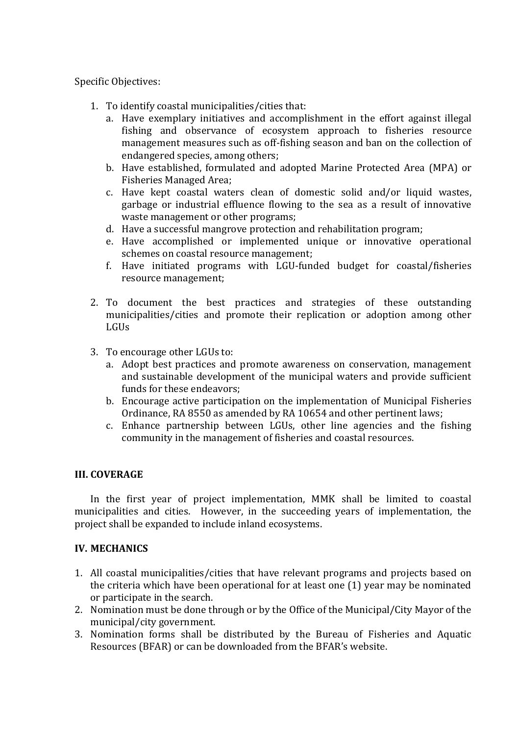## Specific Objectives:

- 1. To identify coastal municipalities/cities that:
	- a. Have exemplary initiatives and accomplishment in the effort against illegal fishing and observance of ecosystem approach to fisheries resource management measures such as off-fishing season and ban on the collection of endangered species, among others;
	- b. Have established, formulated and adopted Marine Protected Area (MPA) or Fisheries Managed Area;
	- c. Have kept coastal waters clean of domestic solid and/or liquid wastes, garbage or industrial effluence flowing to the sea as a result of innovative waste management or other programs;
	- d. Have a successful mangrove protection and rehabilitation program;
	- e. Have accomplished or implemented unique or innovative operational schemes on coastal resource management;
	- f. Have initiated programs with LGU-funded budget for coastal/fisheries resource management;
- 2. To document the best practices and strategies of these outstanding municipalities/cities and promote their replication or adoption among other LGUs
- 3. To encourage other LGUs to:
	- a. Adopt best practices and promote awareness on conservation, management and sustainable development of the municipal waters and provide sufficient funds for these endeavors;
	- b. Encourage active participation on the implementation of Municipal Fisheries Ordinance, RA 8550 as amended by RA 10654 and other pertinent laws;
	- c. Enhance partnership between LGUs, other line agencies and the fishing community in the management of fisheries and coastal resources.

# **III. COVERAGE**

In the first year of project implementation, MMK shall be limited to coastal municipalities and cities. However, in the succeeding years of implementation, the project shall be expanded to include inland ecosystems.

# **IV. MECHANICS**

- 1. All coastal municipalities/cities that have relevant programs and projects based on the criteria which have been operational for at least one (1) year may be nominated or participate in the search.
- 2. Nomination must be done through or by the Office of the Municipal/City Mayor of the municipal/city government.
- 3. Nomination forms shall be distributed by the Bureau of Fisheries and Aquatic Resources (BFAR) or can be downloaded from the BFAR's website.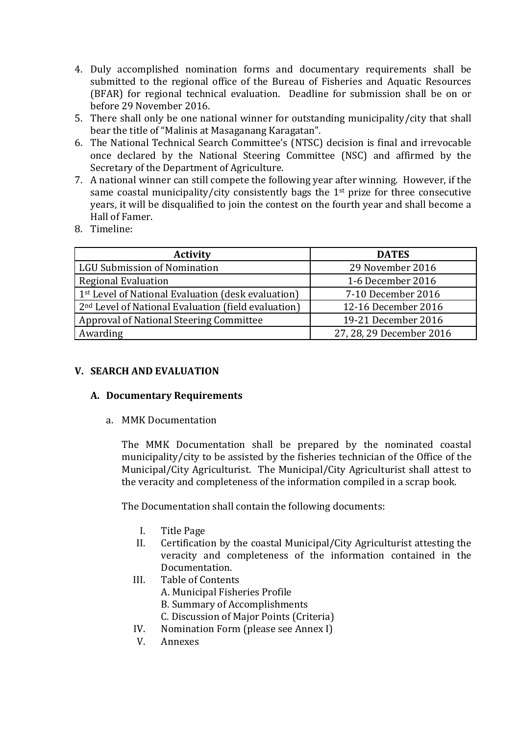- 4. Duly accomplished nomination forms and documentary requirements shall be submitted to the regional office of the Bureau of Fisheries and Aquatic Resources (BFAR) for regional technical evaluation. Deadline for submission shall be on or before 29 November 2016.
- 5. There shall only be one national winner for outstanding municipality/city that shall bear the title of "Malinis at Masaganang Karagatan".
- 6. The National Technical Search Committee's (NTSC) decision is final and irrevocable once declared by the National Steering Committee (NSC) and affirmed by the Secretary of the Department of Agriculture.
- 7. A national winner can still compete the following year after winning. However, if the same coastal municipality/city consistently bags the 1<sup>st</sup> prize for three consecutive years, it will be disqualified to join the contest on the fourth year and shall become a Hall of Famer.
- 8. Timeline:

| <b>Activity</b>                                                 | <b>DATES</b>             |
|-----------------------------------------------------------------|--------------------------|
| <b>LGU Submission of Nomination</b>                             | 29 November 2016         |
| <b>Regional Evaluation</b>                                      | 1-6 December 2016        |
| 1st Level of National Evaluation (desk evaluation)              | 7-10 December 2016       |
| 2 <sup>nd</sup> Level of National Evaluation (field evaluation) | 12-16 December 2016      |
| Approval of National Steering Committee                         | 19-21 December 2016      |
| Awarding                                                        | 27, 28, 29 December 2016 |

# **V. SEARCH AND EVALUATION**

# **A. Documentary Requirements**

a. MMK Documentation

The MMK Documentation shall be prepared by the nominated coastal municipality/city to be assisted by the fisheries technician of the Office of the Municipal/City Agriculturist. The Municipal/City Agriculturist shall attest to the veracity and completeness of the information compiled in a scrap book.

The Documentation shall contain the following documents:

- I. Title Page
- II. Certification by the coastal Municipal/City Agriculturist attesting the veracity and completeness of the information contained in the Documentation.
- III. Table of Contents
	- A. Municipal Fisheries Profile
	- B. Summary of Accomplishments
	- C. Discussion of Major Points (Criteria)
- IV. Nomination Form (please see Annex I)
- V. Annexes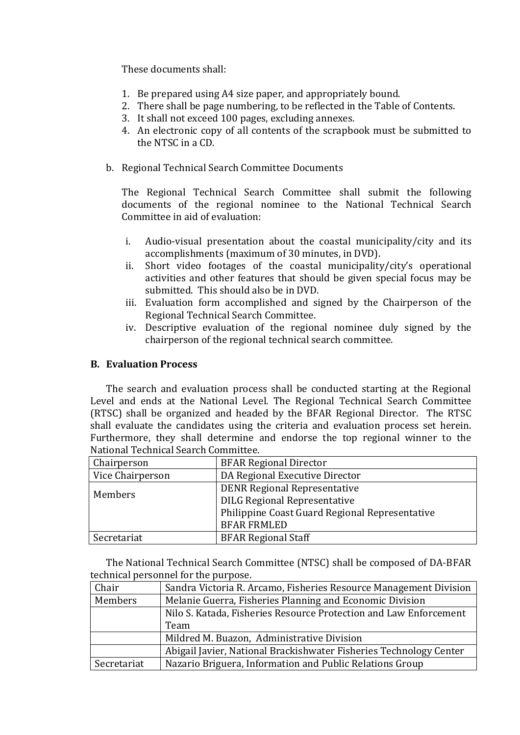These documents shall:

- 1. Be prepared using A4 size paper, and appropriately bound.
- 2. There shall be page numbering, to be reflected in the Table of Contents.
- 3. It shall not exceed 100 pages, excluding annexes.
- 4. An electronic copy of all contents of the scrapbook must be submitted to the NTSC in a CD.
- b. Regional Technical Search Committee Documents

The Regional Technical Search Committee shall submit the following documents of the regional nominee to the National Technical Search Committee in aid of evaluation:

- i. Audio-visual presentation about the coastal municipality/city and its accomplishments (maximum of 30 minutes, in DVD).
- ii. Short video footages of the coastal municipality/city's operational activities and other features that should be given special focus may be submitted. This should also be in DVD.
- iii. Evaluation form accomplished and signed by the Chairperson of the Regional Technical Search Committee.
- iv. Descriptive evaluation of the regional nominee duly signed by the chairperson of the regional technical search committee.

# **B. Evaluation Process**

The search and evaluation process shall be conducted starting at the Regional Level and ends at the National Level. The Regional Technical Search Committee (RTSC) shall be organized and headed by the BFAR Regional Director. The RTSC shall evaluate the candidates using the criteria and evaluation process set herein. Furthermore, they shall determine and endorse the top regional winner to the National Technical Search Committee.

| Chairperson                                    | <b>BFAR Regional Director</b>       |
|------------------------------------------------|-------------------------------------|
| Vice Chairperson                               | DA Regional Executive Director      |
| Members                                        | <b>DENR Regional Representative</b> |
|                                                | <b>DILG Regional Representative</b> |
| Philippine Coast Guard Regional Representative |                                     |
|                                                | <b>BFAR FRMLED</b>                  |
| Secretariat                                    | <b>BFAR Regional Staff</b>          |

The National Technical Search Committee (NTSC) shall be composed of DA-BFAR technical personnel for the purpose.

| Chair       | Sandra Victoria R. Arcamo, Fisheries Resource Management Division  |
|-------------|--------------------------------------------------------------------|
| Members     | Melanie Guerra, Fisheries Planning and Economic Division           |
|             | Nilo S. Katada, Fisheries Resource Protection and Law Enforcement  |
|             | Team                                                               |
|             | Mildred M. Buazon, Administrative Division                         |
|             | Abigail Javier, National Brackishwater Fisheries Technology Center |
| Secretariat | Nazario Briguera, Information and Public Relations Group           |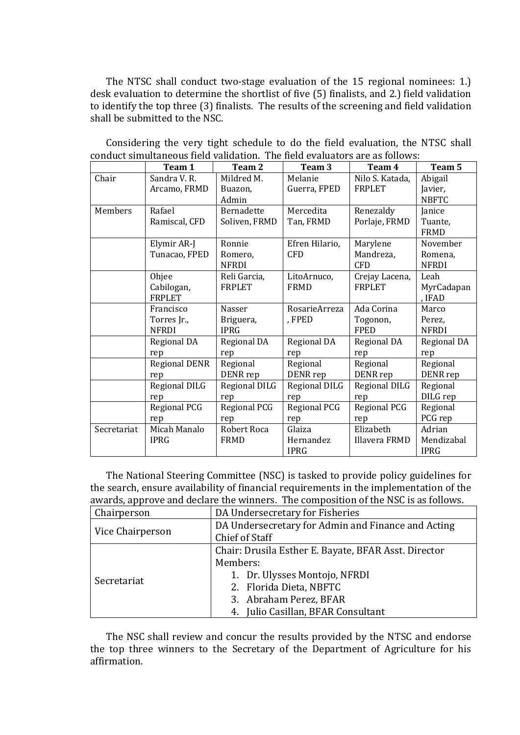The NTSC shall conduct two-stage evaluation of the 15 regional nominees: 1.) desk evaluation to determine the shortlist of five (5) finalists, and 2.) field validation to identify the top three (3) finalists. The results of the screening and field validation shall be submitted to the NSC.

|             | Team 1               | Team 2            | Team 3         | Team 4          | Team 5       |
|-------------|----------------------|-------------------|----------------|-----------------|--------------|
| Chair       | Sandra V.R.          | Mildred M.        | Melanie        | Nilo S. Katada, | Abigail      |
|             | Arcamo, FRMD         | Buazon,           | Guerra, FPED   | <b>FRPLET</b>   | Javier,      |
|             |                      | Admin             |                |                 | <b>NBFTC</b> |
| Members     | Rafael               | <b>Bernadette</b> | Mercedita      | Renezaldy       | Janice       |
|             | Ramiscal, CFD        | Soliven, FRMD     | Tan, FRMD      | Porlaje, FRMD   | Tuante,      |
|             |                      |                   |                |                 | FRMD         |
|             | Elymir AR-J          | Ronnie            | Efren Hilario, | Marylene        | November     |
|             | Tunacao, FPED        | Romero,           | <b>CFD</b>     | Mandreza,       | Romena,      |
|             |                      | <b>NFRDI</b>      |                | <b>CFD</b>      | <b>NFRDI</b> |
|             | Ohjee                | Reli Garcia,      | LitoArnuco,    | Crejay Lacena,  | Leah         |
|             | Cabilogan,           | <b>FRPLET</b>     | <b>FRMD</b>    | <b>FRPLET</b>   | MyrCadapan   |
|             | <b>FRPLET</b>        |                   |                |                 | , IFAD       |
|             | Francisco            | Nasser            | RosarieArreza  | Ada Corina      | Marco        |
|             | Torres Jr.,          | Briguera,         | , FPED         | Togonon,        | Perez,       |
|             | <b>NFRDI</b>         | <b>IPRG</b>       |                | <b>FPED</b>     | <b>NFRDI</b> |
|             | Regional DA          | Regional DA       | Regional DA    | Regional DA     | Regional DA  |
|             | rep                  | rep               | rep            | rep             | rep          |
|             | <b>Regional DENR</b> | Regional          | Regional       | Regional        | Regional     |
|             | rep                  | DENR rep          | DENR rep       | DENR rep        | DENR rep     |
|             | <b>Regional DILG</b> | Regional DILG     | Regional DILG  | Regional DILG   | Regional     |
|             | rep                  | rep               | rep            | rep             | DILG rep     |
|             | Regional PCG         | Regional PCG      | Regional PCG   | Regional PCG    | Regional     |
|             | rep                  | rep               | rep            | rep             | PCG rep      |
| Secretariat | Micah Manalo         | Robert Roca       | Glaiza         | Elizabeth       | Adrian       |
|             | <b>IPRG</b>          | FRMD              | Hernandez      | Illavera FRMD   | Mendizabal   |
|             |                      |                   | <b>IPRG</b>    |                 | <b>IPRG</b>  |

Considering the very tight schedule to do the field evaluation, the NTSC shall conduct simultaneous field validation. The field evaluators are as follows:

The National Steering Committee (NSC) is tasked to provide policy guidelines for the search, ensure availability of financial requirements in the implementation of the awards, approve and declare the winners. The composition of the NSC is as follows.

| Chairperson      | DA Undersecretary for Fisheries                      |
|------------------|------------------------------------------------------|
|                  | DA Undersecretary for Admin and Finance and Acting   |
| Vice Chairperson | Chief of Staff                                       |
|                  | Chair: Drusila Esther E. Bayate, BFAR Asst. Director |
|                  | Members:                                             |
| Secretariat      | 1. Dr. Ulysses Montojo, NFRDI                        |
|                  | 2. Florida Dieta, NBFTC                              |
|                  | 3. Abraham Perez, BFAR                               |
|                  | 4. Julio Casillan, BFAR Consultant                   |

The NSC shall review and concur the results provided by the NTSC and endorse the top three winners to the Secretary of the Department of Agriculture for his affirmation.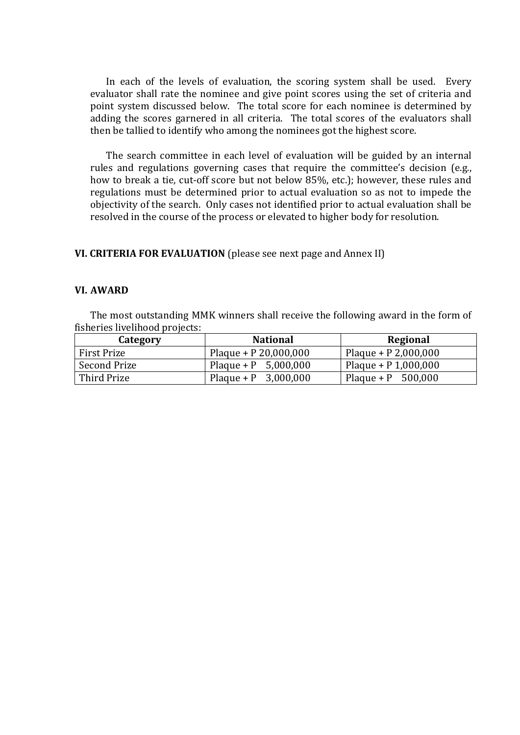In each of the levels of evaluation, the scoring system shall be used. Every evaluator shall rate the nominee and give point scores using the set of criteria and point system discussed below. The total score for each nominee is determined by adding the scores garnered in all criteria. The total scores of the evaluators shall then be tallied to identify who among the nominees got the highest score.

The search committee in each level of evaluation will be guided by an internal rules and regulations governing cases that require the committee's decision (e.g., how to break a tie, cut-off score but not below 85%, etc.); however, these rules and regulations must be determined prior to actual evaluation so as not to impede the objectivity of the search. Only cases not identified prior to actual evaluation shall be resolved in the course of the process or elevated to higher body for resolution.

### **VI. CRITERIA FOR EVALUATION** (please see next page and Annex II)

#### **VI. AWARD**

The most outstanding MMK winners shall receive the following award in the form of fisheries livelihood projects:

| Category     | <b>National</b>         | Regional               |
|--------------|-------------------------|------------------------|
| First Prize  | Plaque + $P$ 20,000,000 | Plaque + $P$ 2,000,000 |
| Second Prize | Plaque + P $5,000,000$  | Plaque + $P$ 1,000,000 |
| Third Prize  | Plaque + P $3,000,000$  | Plaque + P $500,000$   |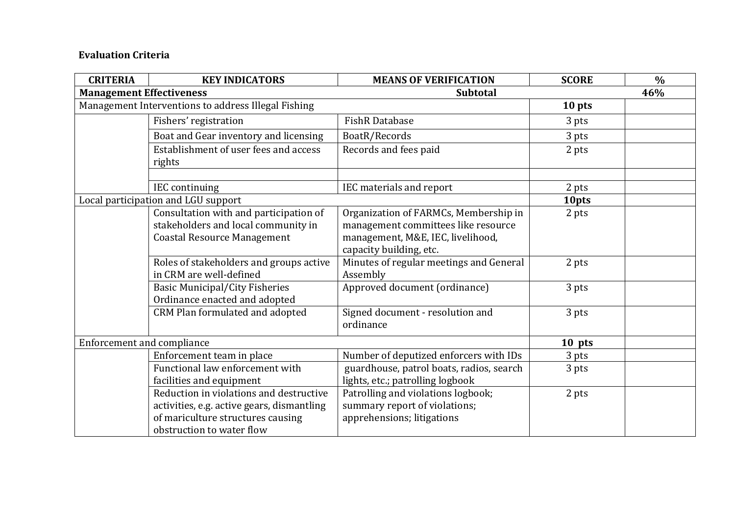# **Evaluation Criteria**

| <b>CRITERIA</b>                                    | <b>KEY INDICATORS</b>                                                                                                                                   | <b>MEANS OF VERIFICATION</b>                                                                                                                 | <b>SCORE</b> | $\frac{0}{0}$ |
|----------------------------------------------------|---------------------------------------------------------------------------------------------------------------------------------------------------------|----------------------------------------------------------------------------------------------------------------------------------------------|--------------|---------------|
| <b>Management Effectiveness</b><br><b>Subtotal</b> |                                                                                                                                                         |                                                                                                                                              | 46%          |               |
|                                                    | Management Interventions to address Illegal Fishing                                                                                                     |                                                                                                                                              | 10 pts       |               |
|                                                    | Fishers' registration                                                                                                                                   | <b>FishR Database</b>                                                                                                                        | 3 pts        |               |
|                                                    | Boat and Gear inventory and licensing                                                                                                                   | BoatR/Records                                                                                                                                | 3 pts        |               |
|                                                    | Establishment of user fees and access<br>rights                                                                                                         | Records and fees paid                                                                                                                        | 2 pts        |               |
|                                                    | <b>IEC</b> continuing                                                                                                                                   | IEC materials and report                                                                                                                     | 2 pts        |               |
|                                                    | Local participation and LGU support                                                                                                                     |                                                                                                                                              | 10pts        |               |
|                                                    | Consultation with and participation of<br>stakeholders and local community in<br><b>Coastal Resource Management</b>                                     | Organization of FARMCs, Membership in<br>management committees like resource<br>management, M&E, IEC, livelihood,<br>capacity building, etc. | 2 pts        |               |
|                                                    | Roles of stakeholders and groups active<br>in CRM are well-defined                                                                                      | Minutes of regular meetings and General<br>Assembly                                                                                          | 2 pts        |               |
|                                                    | <b>Basic Municipal/City Fisheries</b><br>Ordinance enacted and adopted                                                                                  | Approved document (ordinance)                                                                                                                | 3 pts        |               |
|                                                    | CRM Plan formulated and adopted                                                                                                                         | Signed document - resolution and<br>ordinance                                                                                                | 3 pts        |               |
| Enforcement and compliance                         |                                                                                                                                                         | 10 pts                                                                                                                                       |              |               |
|                                                    | Enforcement team in place                                                                                                                               | Number of deputized enforcers with IDs                                                                                                       | 3 pts        |               |
|                                                    | Functional law enforcement with<br>facilities and equipment                                                                                             | guardhouse, patrol boats, radios, search<br>lights, etc.; patrolling logbook                                                                 | 3 pts        |               |
|                                                    | Reduction in violations and destructive<br>activities, e.g. active gears, dismantling<br>of mariculture structures causing<br>obstruction to water flow | Patrolling and violations logbook;<br>summary report of violations;<br>apprehensions; litigations                                            | 2 pts        |               |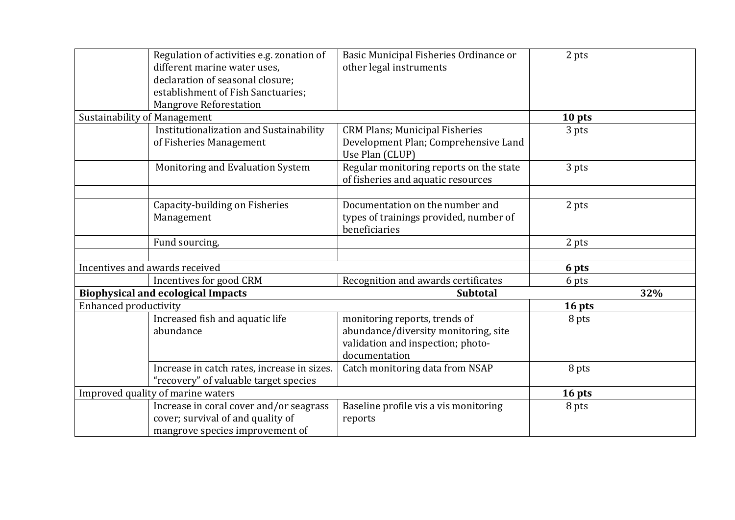|                                     | Regulation of activities e.g. zonation of   | Basic Municipal Fisheries Ordinance or  | 2 pts  |     |
|-------------------------------------|---------------------------------------------|-----------------------------------------|--------|-----|
|                                     | different marine water uses,                | other legal instruments                 |        |     |
|                                     | declaration of seasonal closure;            |                                         |        |     |
|                                     | establishment of Fish Sanctuaries;          |                                         |        |     |
|                                     | <b>Mangrove Reforestation</b>               |                                         |        |     |
| <b>Sustainability of Management</b> |                                             |                                         | 10 pts |     |
|                                     | Institutionalization and Sustainability     | <b>CRM Plans; Municipal Fisheries</b>   | 3 pts  |     |
|                                     | of Fisheries Management                     | Development Plan; Comprehensive Land    |        |     |
|                                     |                                             | Use Plan (CLUP)                         |        |     |
|                                     | Monitoring and Evaluation System            | Regular monitoring reports on the state | 3 pts  |     |
|                                     |                                             | of fisheries and aquatic resources      |        |     |
|                                     |                                             |                                         |        |     |
|                                     | Capacity-building on Fisheries              | Documentation on the number and         | 2 pts  |     |
|                                     | Management                                  | types of trainings provided, number of  |        |     |
|                                     |                                             | beneficiaries                           |        |     |
|                                     | Fund sourcing,                              |                                         | 2 pts  |     |
|                                     |                                             |                                         |        |     |
|                                     | Incentives and awards received              |                                         | 6 pts  |     |
|                                     | Incentives for good CRM                     | Recognition and awards certificates     | 6 pts  |     |
|                                     | <b>Biophysical and ecological Impacts</b>   | <b>Subtotal</b>                         |        | 32% |
| <b>Enhanced productivity</b>        |                                             |                                         | 16 pts |     |
|                                     | Increased fish and aquatic life             | monitoring reports, trends of           | 8 pts  |     |
|                                     | abundance                                   | abundance/diversity monitoring, site    |        |     |
|                                     |                                             | validation and inspection; photo-       |        |     |
|                                     |                                             | documentation                           |        |     |
|                                     | Increase in catch rates, increase in sizes. | Catch monitoring data from NSAP         | 8 pts  |     |
|                                     | "recovery" of valuable target species       |                                         |        |     |
| Improved quality of marine waters   |                                             | 16 pts                                  |        |     |
|                                     | Increase in coral cover and/or seagrass     | Baseline profile vis a vis monitoring   | 8 pts  |     |
|                                     | cover; survival of and quality of           | reports                                 |        |     |
|                                     | mangrove species improvement of             |                                         |        |     |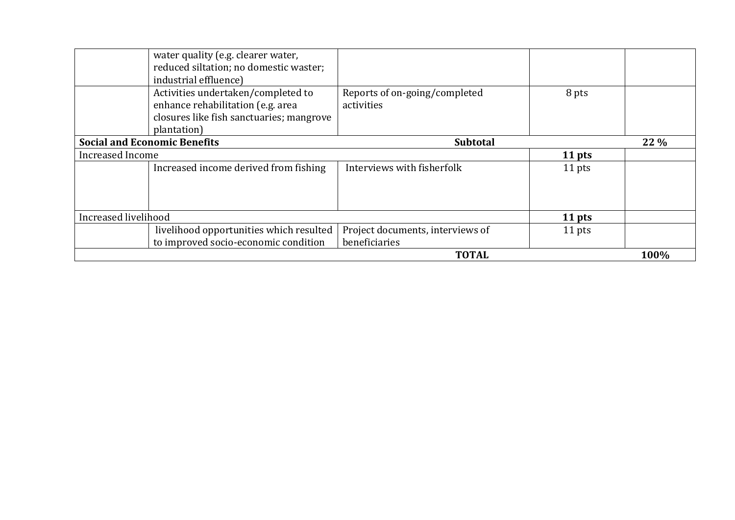| water quality (e.g. clearer water,<br>reduced siltation; no domestic waster;<br>industrial effluence)                              |                                                   |        |        |
|------------------------------------------------------------------------------------------------------------------------------------|---------------------------------------------------|--------|--------|
| Activities undertaken/completed to<br>enhance rehabilitation (e.g. area<br>closures like fish sanctuaries; mangrove<br>plantation) | Reports of on-going/completed<br>activities       | 8 pts  |        |
| <b>Social and Economic Benefits</b>                                                                                                | <b>Subtotal</b>                                   |        | $22\%$ |
| Increased Income                                                                                                                   |                                                   | 11 pts |        |
| Increased income derived from fishing                                                                                              | Interviews with fisherfolk                        | 11 pts |        |
| Increased livelihood                                                                                                               |                                                   | 11 pts |        |
| livelihood opportunities which resulted<br>to improved socio-economic condition                                                    | Project documents, interviews of<br>beneficiaries | 11 pts |        |
|                                                                                                                                    | <b>TOTAL</b>                                      |        | 100%   |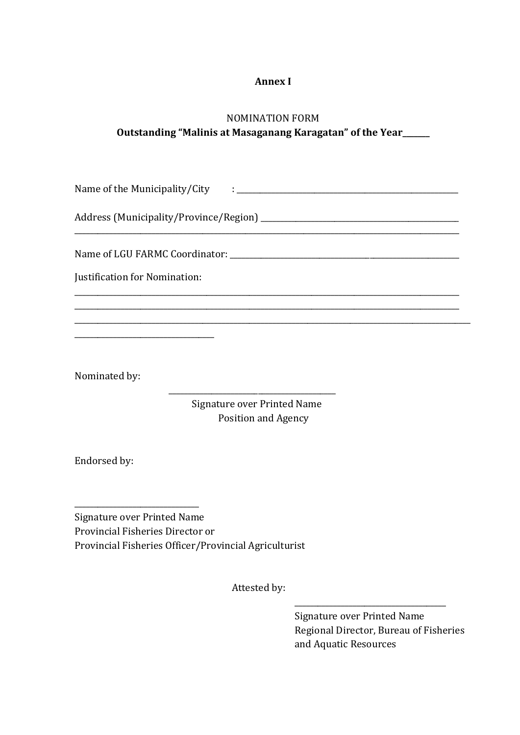# **Annex I**

# NOMINATION FORM **Outstanding "Malinis at Masaganang Karagatan" of the Year\_\_\_\_\_\_\_**

Name of the Municipality/City : \_\_\_\_\_\_\_\_\_\_\_\_\_\_\_\_\_\_\_\_\_\_\_\_\_\_\_\_\_\_\_\_\_\_\_\_\_\_\_\_\_\_\_\_\_\_\_\_\_\_\_\_\_\_\_\_\_

\_\_\_\_\_\_\_\_\_\_\_\_\_\_\_\_\_\_\_\_\_\_\_\_\_\_\_\_\_\_\_\_\_\_\_\_\_\_\_\_\_\_\_\_\_\_\_\_\_\_\_\_\_\_\_\_\_\_\_\_\_\_\_\_\_\_\_\_\_\_\_\_\_\_\_\_\_\_\_\_\_\_\_\_\_\_\_\_\_\_\_\_\_\_\_\_\_\_\_ \_\_\_\_\_\_\_\_\_\_\_\_\_\_\_\_\_\_\_\_\_\_\_\_\_\_\_\_\_\_\_\_\_\_\_\_\_\_\_\_\_\_\_\_\_\_\_\_\_\_\_\_\_\_\_\_\_\_\_\_\_\_\_\_\_\_\_\_\_\_\_\_\_\_\_\_\_\_\_\_\_\_\_\_\_\_\_\_\_\_\_\_\_\_\_\_\_\_\_ \_\_\_\_\_\_\_\_\_\_\_\_\_\_\_\_\_\_\_\_\_\_\_\_\_\_\_\_\_\_\_\_\_\_\_\_\_\_\_\_\_\_\_\_\_\_\_\_\_\_\_\_\_\_\_\_\_\_\_\_\_\_\_\_\_\_\_\_\_\_\_\_\_\_\_\_\_\_\_\_\_\_\_\_\_\_\_\_\_\_\_\_\_\_\_\_\_\_\_\_\_\_

Address (Municipality/Province/Region)

Name of LGU FARMC Coordinator: \_\_\_\_\_\_\_\_\_\_\_\_\_\_\_\_\_\_\_\_\_\_\_\_\_\_\_\_\_\_\_\_\_\_\_\_\_\_\_\_\_\_\_\_\_\_\_\_\_\_\_\_\_\_\_\_\_\_\_

Justification for Nomination:

\_\_\_\_\_\_\_\_\_\_\_\_\_\_\_\_\_\_\_\_\_\_\_\_\_\_\_\_\_\_\_\_\_\_\_\_

Nominated by:

 Signature over Printed Name Position and Agency

\_\_\_\_\_\_\_\_\_\_\_\_\_\_\_\_\_\_\_\_\_\_\_\_\_\_\_\_\_\_\_\_\_\_\_\_\_\_\_\_\_\_\_

Endorsed by:

\_\_\_\_\_\_\_\_\_\_\_\_\_\_\_\_\_\_\_\_\_\_\_\_\_\_\_\_\_\_\_\_

Signature over Printed Name Provincial Fisheries Director or Provincial Fisheries Officer/Provincial Agriculturist

Attested by:

Signature over Printed Name Regional Director, Bureau of Fisheries and Aquatic Resources

\_\_\_\_\_\_\_\_\_\_\_\_\_\_\_\_\_\_\_\_\_\_\_\_\_\_\_\_\_\_\_\_\_\_\_\_\_\_\_